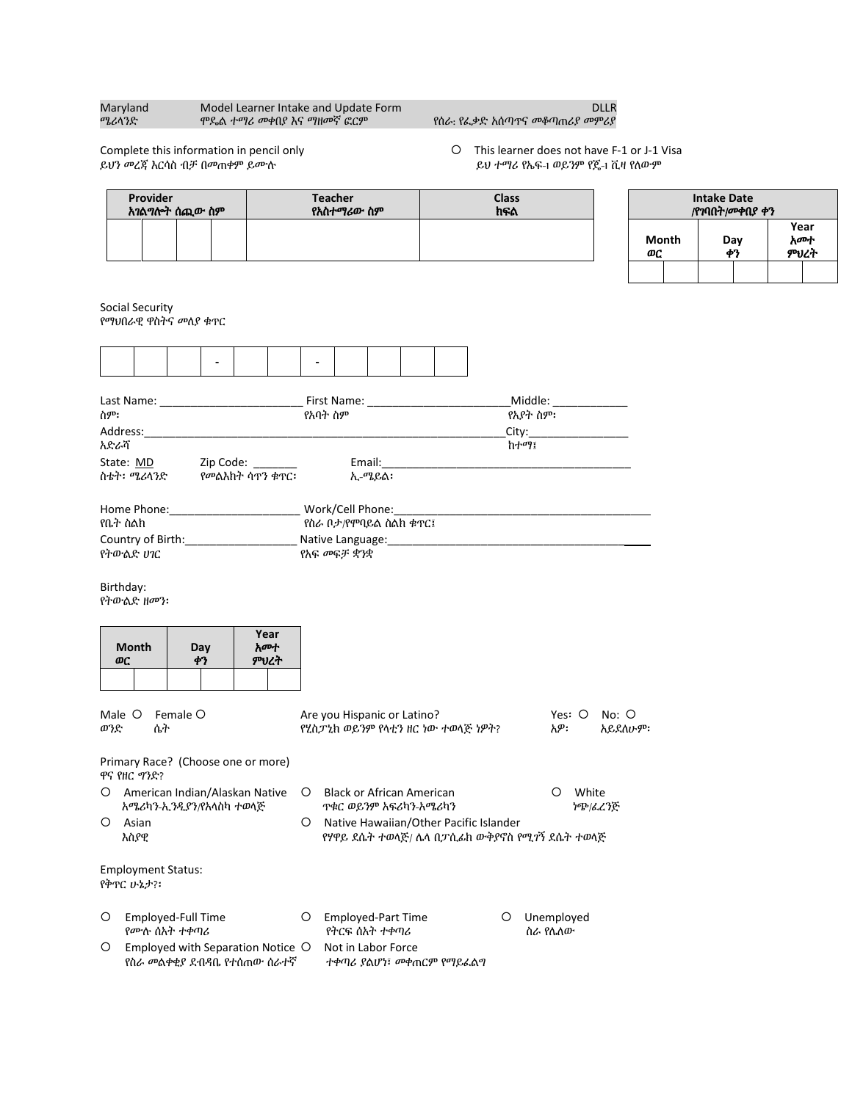| Maryland | Model Learner Intake and Update Form | <b>DLLR</b>                 |
|----------|--------------------------------------|-----------------------------|
| ሜሪላንድ    | ሞዴል ተማሪ መቀበያ እና ማዘመኛ ፎርም             | የሰራ: የፌቃድ አሰጣዋና መቆጣጠሪያ መምሪያ |

## Complete this information in pencil only  $\mathcal{O}$  This learner does not have F-1 or J-1 Visa<br>ይሆን መረጃ እርሳስ ብቻ በመጠቀም ይሙሉ ይህ ተማሪ የኤፍ-1 ወይንም የጄ-1 ቪዛ የለውም

| Provider<br>አገልግሎት ሰጪው ስም                                                                       | <b>Teacher</b><br>የአስተማሪው ስም                                    | <b>Class</b><br>ከፍል                         |                         |                    | <b>Intake Date</b><br>/የንባበት/መቀበያ ቀን |                     |
|-------------------------------------------------------------------------------------------------|-----------------------------------------------------------------|---------------------------------------------|-------------------------|--------------------|--------------------------------------|---------------------|
|                                                                                                 |                                                                 |                                             |                         | <b>Month</b><br>ФC | Day<br>ቀን                            | Year<br>አሙተ<br>ምህረት |
| Social Security                                                                                 |                                                                 |                                             |                         |                    |                                      |                     |
| የማህበራዊ ዋስትና መለያ ቁጥር                                                                             |                                                                 |                                             |                         |                    |                                      |                     |
| $\blacksquare$                                                                                  |                                                                 |                                             |                         |                    |                                      |                     |
| ስም፡                                                                                             | የአባት ስም                                                         | Middle: ____________<br>የአያት ስም፡            |                         |                    |                                      |                     |
| Address:                                                                                        |                                                                 | City:                                       |                         |                    |                                      |                     |
| አድራሻ                                                                                            |                                                                 | ከተማ፤                                        |                         |                    |                                      |                     |
|                                                                                                 | Email:_____<br>ኢ-ሜይል፡                                           |                                             |                         |                    |                                      |                     |
| የቤት ስልክ                                                                                         | የስራ ቦታ/የምባይል ስልክ ቁጥር፤                                           |                                             |                         |                    |                                      |                     |
| የትውልድ ሀገር                                                                                       | የአፍ መፍቻ ቋንቋ                                                     |                                             |                         |                    |                                      |                     |
| Birthday:<br>የትውልድ ዘመን፡                                                                         |                                                                 |                                             |                         |                    |                                      |                     |
| Year<br>አመተ<br><b>Month</b><br>Day<br>ምህረት<br>ФC<br>ቀን                                          |                                                                 |                                             |                         |                    |                                      |                     |
|                                                                                                 |                                                                 |                                             |                         |                    |                                      |                     |
| Female O<br>Male O<br>ወንድ<br>ሴት                                                                 | Are you Hispanic or Latino?<br>የሂስፓኒክ ወይንም የላቲን ዘር ነው ተወላጅ ነዎት? | አዎ፡                                         | Yes: O No: O<br>አይደለሁም፡ |                    |                                      |                     |
| Primary Race? (Choose one or more)<br>ዋና የዘር ግንድ?                                               |                                                                 |                                             |                         |                    |                                      |                     |
| $\circ$<br>American Indian/Alaskan Native O Black or African American<br>አሜሪካን-ኢንዲያን/የአላስካ ተወላጅ | <b>ጥቁር ወይንም እፍሪካን-አሜሪካን</b>                                     | O White                                     | ነጭ/ፌረንጅ                 |                    |                                      |                     |
| O<br>Asian<br>እስያዊ                                                                              | Native Hawaiian/Other Pacific Islander<br>O                     | የሃዋይ ደሴት ተወላጅ/ ሌላ በፓሲፊክ ውቅያኖስ የሚገኝ ደሴት ተወላጅ |                         |                    |                                      |                     |
| <b>Employment Status:</b><br>የቅጥር ሁኔታ?፡                                                         |                                                                 |                                             |                         |                    |                                      |                     |
| O<br>Employed-Full Time<br>የሙሉ ሰአት ተቀጣሪ                                                         | Employed-Part Time<br>O<br>የትርፍ ሰአት ተቀጣሪ                        | Unemployed<br>O<br>ስራ የሌለው                  |                         |                    |                                      |                     |

O Employed with Separation Notice O Not in Labor Force<br>የስራ መልቀቂያ ደብዳቤ የተሰጠው ሰራተኛ ቀጥሪ ያልሆነ፣ መቀጠርም የማይፈልግ የስራ መልቀቂያ ደብዳቤ የተሰጠው ሰራተኛ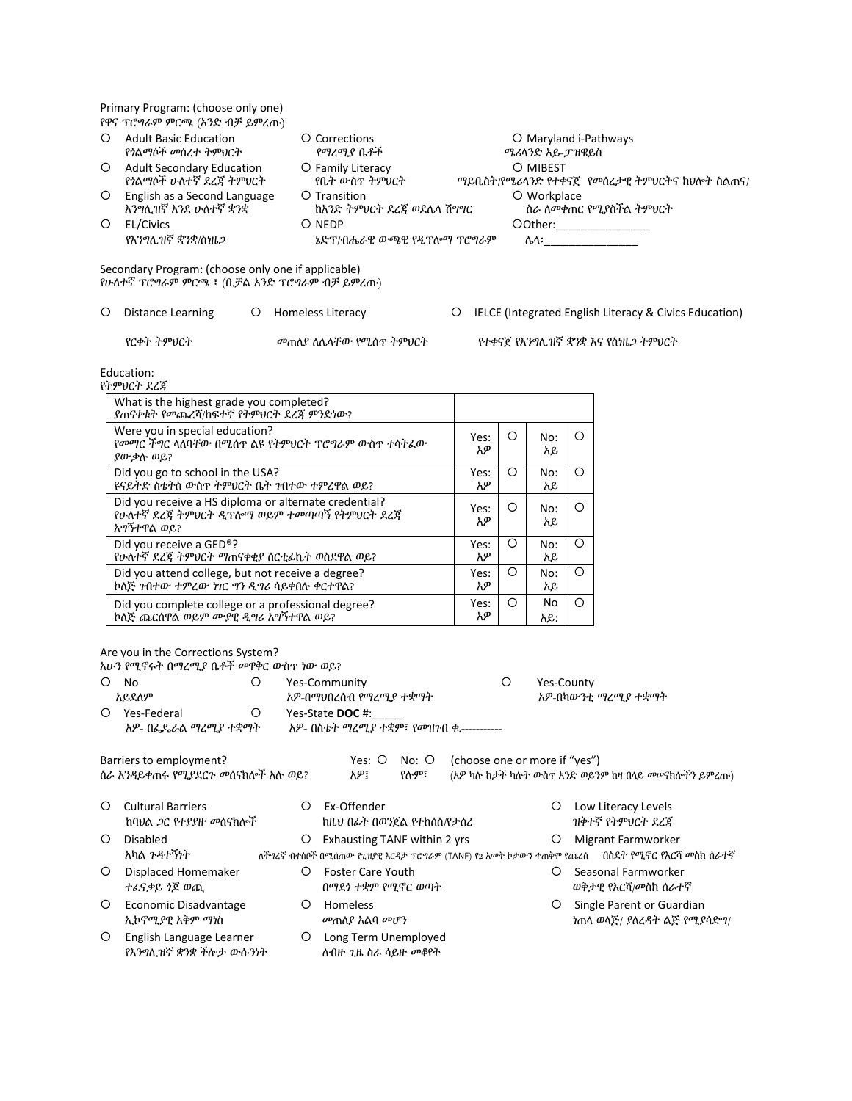|   | Primary Program: (choose only one)<br>የዋና ፕሮግራም ምርጫ (አንድ ብቻ ይምረጡ)                                                        |                                                                                                      |                               |   |                |   |                                                        |
|---|--------------------------------------------------------------------------------------------------------------------------|------------------------------------------------------------------------------------------------------|-------------------------------|---|----------------|---|--------------------------------------------------------|
| O | <b>Adult Basic Education</b><br>የነልማሶች መሰረተ ትምህርት                                                                        | O Corrections<br>የማረሚያ ቤቶች                                                                           |                               |   | ሜሪላንድ አይ-ፓዝዌይስ |   | O Maryland i-Pathways                                  |
| O | <b>Adult Secondary Education</b><br>የነልማሶች ሁለተኛ ደረጃ ትምህርት                                                                | O Family Literacy<br>የቤት ውስጥ ትምህርት                                                                   |                               |   | O MIBEST       |   | ማይቤስት/የሜሪላንድ የተቀናጀ የመሰረታዊ ትምህርትና ከህሎት ስልጠና/            |
| O | English as a Second Language<br>እንግሊዝኛ እንደ ሁለተኛ ቋንቋ                                                                      | O Transition<br>ከአንድ ትምህርት ደረጃ ወደሌላ ሽግግር                                                             |                               |   | O Workplace    |   | ስራ ለመቀጠር የሚያስችል ትምህርት                                  |
| O | <b>EL/Civics</b>                                                                                                         | $O$ NFDP                                                                                             |                               |   |                |   | OOther:_________________                               |
|   | የእንግሊዝኛ ቋንቋ/ስነዜጋ                                                                                                         | ኔድፕ/ብሔራዊ ውጫዊ የዲፕሎማ ፕሮግራም                                                                             |                               |   |                |   | ሌላ፡ <u>__________</u> __                               |
|   | Secondary Program: (choose only one if applicable)<br>የሁለተኛ ፕሮግራም ምርጫ ፤ (ቢቻል አንድ ፕሮግራም ብቻ ይምረጡ)                          |                                                                                                      |                               |   |                |   |                                                        |
| O | <b>Distance Learning</b>                                                                                                 | O Homeless Literacy                                                                                  | O                             |   |                |   | IELCE (Integrated English Literacy & Civics Education) |
|   | የርቀት ትምህርት                                                                                                               | መጠለያ ለሌላቸው የሚሰጥ ትምህርት                                                                                |                               |   |                |   | የተቀናጀ የእንግሊዝኛ ቋንቋ እና የስነዜጋ ትምህርት                       |
|   | Education:<br>የትምህርት ደረጃ                                                                                                 |                                                                                                      |                               |   |                |   |                                                        |
|   | What is the highest grade you completed?<br>ያጠናቀቁት የመጨረሻ/ከፍተኛ የትምህርት ደረጃ ምንድነው?                                          |                                                                                                      |                               |   |                |   |                                                        |
|   | Were you in special education?<br>የመማር ችግር ላለባቸው በሚሰዋ ልዩ የትምህርት ፕሮግራም ውስዋ ተሳትፈው<br>ያውቃሉ ወይ?                              |                                                                                                      | Yes:<br>አዎ                    | O | No:<br>አይ      | O |                                                        |
|   | Did you go to school in the USA?<br>ዩናይትድ ስቴትስ ውስዋ ትምህርት ቤት ንብተው ተምረዋል ወይ?                                               |                                                                                                      | Yes:<br>አዎ                    | O | No:<br>አይ      | O |                                                        |
|   | Did you receive a HS diploma or alternate credential?<br>የሁለተኛ ደረጃ ትምህርት ዲፕሎማ ወይም ተመጣጣኝ የትምህርት ደረጃ<br><i>አግኝተዋ</i> ል ወይ? |                                                                                                      | Yes:<br>አዎ                    | O | No:<br>አይ      | O |                                                        |
|   | Did you receive a GED®?<br>የሁለተኛ ደረጃ ትምህርት ማጠናቀቂያ ሰርቲፊኬት ወስደዋል ወይ?                                                       |                                                                                                      | Yes:<br>አዎ                    | O | No:<br>አይ      | O |                                                        |
|   | Did you attend college, but not receive a degree?<br>ኮለጅ <i>ገ</i> ብተው ተምረው <i>ከ</i> ር <i>ግን ዲግሪ</i> ሳይቀበሉ ቀርተዋል?         |                                                                                                      | Yes:<br>አዎ                    | O | No:<br>አይ      | O |                                                        |
|   | Did you complete college or a professional degree?<br>ኮለጅ ጨርሰዋል ወይም ሙያዊ ዲግሪ አግኝተዋል ወይ?                                   |                                                                                                      | Yes:<br>አዎ                    | O | No<br>አይ:      | O |                                                        |
|   | Are you in the Corrections System?                                                                                       |                                                                                                      |                               |   |                |   |                                                        |
| O | አሁን የሚኖሩት በማረሚያ ቤቶች መዋቅር ውስዋ ነው ወይ?<br>$\circ$<br>No                                                                     | Yes-Community                                                                                        |                               | O | Yes-County     |   |                                                        |
| Ő | አይደለም<br>$\circ$<br>Yes-Federal                                                                                          | አዎ-በማህበረሰብ የማረሚያ ተቋማት<br>Yes-State DOC #:                                                            |                               |   |                |   | አዎ-በካውንቲ ማረሚያ ተቋማት                                     |
|   | አዎ- በፌዴራል ማረሚያ ተቋማት                                                                                                      | አዎ- በስቴት ማረሚያ ተቋም፣ የመዝንብ ቁ.-----------                                                               |                               |   |                |   |                                                        |
|   | Barriers to employment?<br>ስራ እንዳይቀጠሩ የሚያደርጉ መሰናከሎች አሉ ወይ?                                                               | Yes: $\bigcirc$<br>No: O<br>አዎ፤<br>የሉም፣                                                              | (choose one or more if "yes") |   |                |   | (እዎ ካሉ ከታች ካሉት ውስዋ እንድ ወይንም ከዛ በላይ መሥናከሎችን ይምረጡ)       |
| O | <b>Cultural Barriers</b><br>ከባህል <i>ጋ</i> ር የተያያዙ መሰናክሎች                                                                 | Ex-Offender<br>O<br>ከዚህ በፊት በወንጀል የተከሰስ/የታሰረ                                                         |                               |   | O              |   | Low Literacy Levels<br>ዝቅተኛ የትምህርት ደረጃ                 |
| O | <b>Disabled</b><br><u>አካል ንዳተኝነት</u>                                                                                     | Exhausting TANF within 2 yrs<br>Ő<br>ለችግረኛ ብተሰቦች በሚሰጠው የጊዝያዊ እርዳታ ፕሮግራም (TANF) የ2 አመት ኮታውን ተጠቅሞ የጨረሰ |                               |   | O              |   | Migrant Farmworker<br>በስደት የሚኖር የእርሻ መስክ ስራተኛ          |
| O | <b>Displaced Homemaker</b><br>ተፈናቃይ ነጆ ወጪ                                                                                | O<br><b>Foster Care Youth</b><br>በማደን ተቋም የሚኖር ወጣት                                                   |                               |   | O              |   | Seasonal Farmworker<br>ወቅታዊ የእርሻ/መስክ ሰራተኛ              |
| O | Economic Disadvantage<br>ኢኮኖሚያዊ አቅም ማነስ                                                                                  | Homeless<br>O<br>መጠለያ አልባ መሆን                                                                        |                               |   | O              |   | Single Parent or Guardian<br>ነጠሳ ወሳጅ/ ያሰረዳት ልጅ የሚያሳድግ/ |
| O | English Language Learner<br>የእንግሊዝኛ ቋንቋ ችሎታ ውሱንነት                                                                        | Long Term Unemployed<br>Ő<br>ለብዙ ጊዜ ስራ ሳይዙ መቆየት                                                      |                               |   |                |   |                                                        |